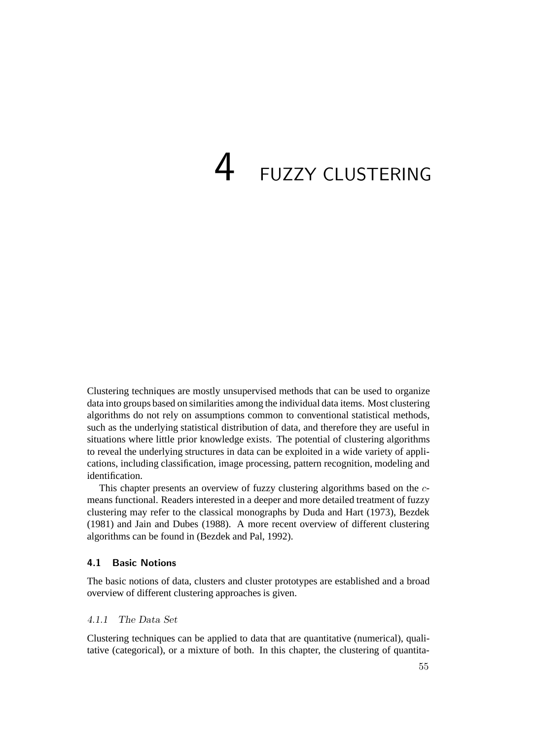# 4 FUZZY CLUSTERING

Clustering techniques are mostly unsupervised methods that can be used to organize data into groups based on similarities among the individual data items. Most clustering algorithms do not rely on assumptions common to conventional statistical methods, such as the underlying statistical distribution of data, and therefore they are useful in situations where little prior knowledge exists. The potential of clustering algorithms to reveal the underlying structures in data can be exploited in a wide variety of applications, including classification, image processing, pattern recognition, modeling and identification.

This chapter presents an overview of fuzzy clustering algorithms based on the cmeans functional. Readers interested in a deeper and more detailed treatment of fuzzy clustering may refer to the classical monographs by Duda and Hart (1973), Bezdek (1981) and Jain and Dubes (1988). A more recent overview of different clustering algorithms can be found in (Bezdek and Pal, 1992).

# **4.1 Basic Notions**

The basic notions of data, clusters and cluster prototypes are established and a broad overview of different clustering approaches is given.

# *4.1.1 The Data Set*

Clustering techniques can be applied to data that are quantitative (numerical), qualitative (categorical), or a mixture of both. In this chapter, the clustering of quantita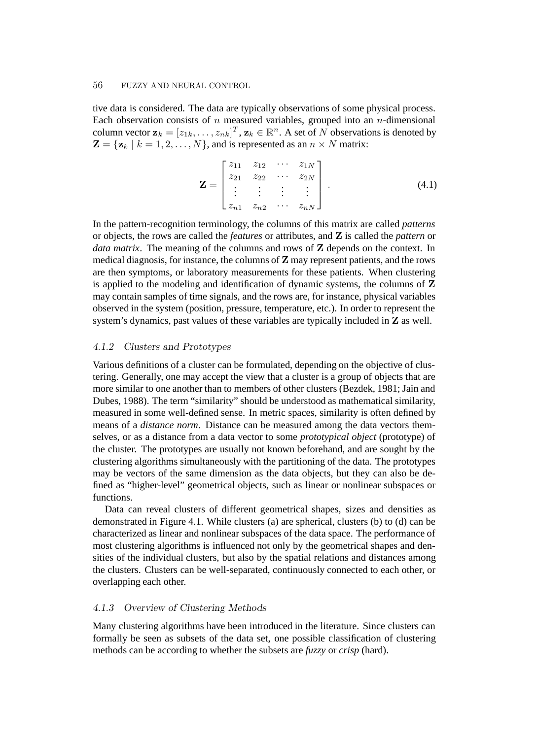tive data is considered. The data are typically observations of some physical process. Each observation consists of n measured variables, grouped into an  $n$ -dimensional column vector  $\mathbf{z}_k = [z_{1k}, \dots, z_{nk}]^T$ ,  $\mathbf{z}_k \in \mathbb{R}^n$ . A set of N observations is denoted by  $\mathbf{Z} = \{z_k \mid k = 1, 2, \dots, N\}$ , and is represented as an  $n \times N$  matrix:

$$
\mathbf{Z} = \begin{bmatrix} z_{11} & z_{12} & \cdots & z_{1N} \\ z_{21} & z_{22} & \cdots & z_{2N} \\ \vdots & \vdots & \vdots & \vdots \\ z_{n1} & z_{n2} & \cdots & z_{nN} \end{bmatrix} .
$$
 (4.1)

In the pattern-recognition terminology, the columns of this matrix are called *patterns* or objects, the rows are called the *features* or attributes, and **Z** is called the *pattern* or *data matrix*. The meaning of the columns and rows of **Z** depends on the context. In medical diagnosis, for instance, the columns of **Z** may represent patients, and the rows are then symptoms, or laboratory measurements for these patients. When clustering is applied to the modeling and identification of dynamic systems, the columns of **Z** may contain samples of time signals, and the rows are, for instance, physical variables observed in the system (position, pressure, temperature, etc.). In order to represent the system's dynamics, past values of these variables are typically included in **Z** as well.

## *4.1.2 Clusters and Prototypes*

Various definitions of a cluster can be formulated, depending on the objective of clustering. Generally, one may accept the view that a cluster is a group of objects that are more similar to one another than to members of other clusters (Bezdek, 1981; Jain and Dubes, 1988). The term "similarity" should be understood as mathematical similarity, measured in some well-defined sense. In metric spaces, similarity is often defined by means of a *distance norm*. Distance can be measured among the data vectors themselves, or as a distance from a data vector to some *prototypical object* (prototype) of the cluster. The prototypes are usually not known beforehand, and are sought by the clustering algorithms simultaneously with the partitioning of the data. The prototypes may be vectors of the same dimension as the data objects, but they can also be defined as "higher-level" geometrical objects, such as linear or nonlinear subspaces or functions.

Data can reveal clusters of different geometrical shapes, sizes and densities as demonstrated in Figure 4.1. While clusters (a) are spherical, clusters (b) to (d) can be characterized as linear and nonlinear subspaces of the data space. The performance of most clustering algorithms is influenced not only by the geometrical shapes and densities of the individual clusters, but also by the spatial relations and distances among the clusters. Clusters can be well-separated, continuously connected to each other, or overlapping each other.

#### *4.1.3 Overviewof Clustering Methods*

Many clustering algorithms have been introduced in the literature. Since clusters can formally be seen as subsets of the data set, one possible classification of clustering methods can be according to whether the subsets are *fuzzy* or *crisp* (hard).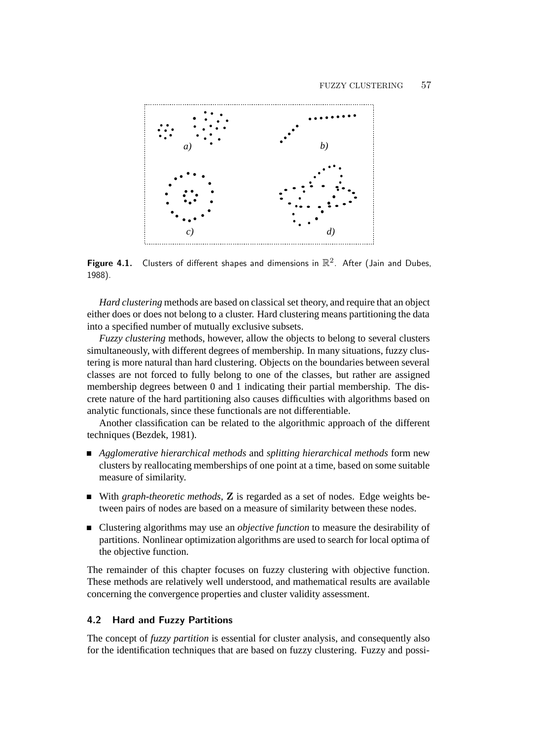

**Figure 4.1.** Clusters of different shapes and dimensions in  $\mathbb{R}^2$ . After (Jain and Dubes, 1988).

*Hard clustering* methods are based on classical set theory, and require that an object either does or does not belong to a cluster. Hard clustering means partitioning the data into a specified number of mutually exclusive subsets.

*Fuzzy clustering* methods, however, allow the objects to belong to several clusters simultaneously, with different degrees of membership. In many situations, fuzzy clustering is more natural than hard clustering. Objects on the boundaries between several classes are not forced to fully belong to one of the classes, but rather are assigned membership degrees between 0 and 1 indicating their partial membership. The discrete nature of the hard partitioning also causes difficulties with algorithms based on analytic functionals, since these functionals are not differentiable.

Another classification can be related to the algorithmic approach of the different techniques (Bezdek, 1981).

- *Agglomerative hierarchical methods* and *splitting hierarchical methods* form new clusters by reallocating memberships of one point at a time, based on some suitable measure of similarity.
- With *graph-theoretic methods*, **Z** is regarded as a set of nodes. Edge weights between pairs of nodes are based on a measure of similarity between these nodes.
- Clustering algorithms may use an *objective function* to measure the desirability of partitions. Nonlinear optimization algorithms are used to search for local optima of the objective function.

The remainder of this chapter focuses on fuzzy clustering with objective function. These methods are relatively well understood, and mathematical results are available concerning the convergence properties and cluster validity assessment.

## **4.2 Hard and Fuzzy Partitions**

The concept of *fuzzy partition* is essential for cluster analysis, and consequently also for the identification techniques that are based on fuzzy clustering. Fuzzy and possi-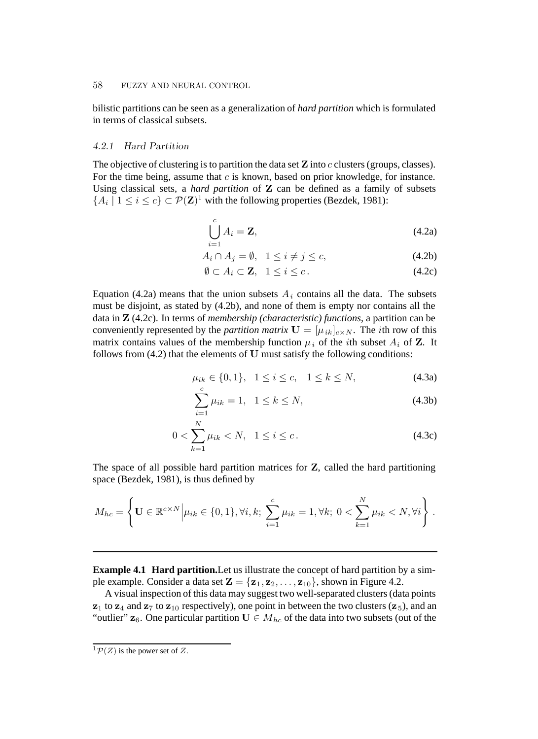bilistic partitions can be seen as a generalization of *hard partition* which is formulated in terms of classical subsets.

#### *4.2.1 Hard Partition*

The objective of clustering is to partition the data set **Z** into c clusters (groups, classes). For the time being, assume that c is known, based on prior knowledge, for instance. Using classical sets, a *hard partition* of **Z** can be defined as a family of subsets  ${A_i | 1 \le i \le c} \subset \mathcal{P}(\mathbf{Z})^1$  with the following properties (Bezdek, 1981):

$$
\bigcup_{i=1}^{c} A_i = \mathbf{Z},\tag{4.2a}
$$

$$
A_i \cap A_j = \emptyset, \quad 1 \le i \ne j \le c,\tag{4.2b}
$$

$$
\emptyset \subset A_i \subset \mathbf{Z}, \quad 1 \le i \le c \,. \tag{4.2c}
$$

Equation (4.2a) means that the union subsets  $A_i$  contains all the data. The subsets must be disjoint, as stated by (4.2b), and none of them is empty nor contains all the data in **Z** (4.2c). In terms of *membership (characteristic) functions*, a partition can be conveniently represented by the *partition matrix*  $\mathbf{U} = [\mu_{ik}]_{c \times N}$ . The *i*th row of this matrix contains values of the membership function  $\mu_i$  of the *i*th subset  $A_i$  of **Z**. It follows from (4.2) that the elements of **U** must satisfy the following conditions:

$$
\mu_{ik} \in \{0, 1\}, \ \ 1 \le i \le c, \ \ 1 \le k \le N,\tag{4.3a}
$$

$$
\sum_{i=1}^{c} \mu_{ik} = 1, \quad 1 \le k \le N,
$$
\n(4.3b)

$$
0 < \sum_{k=1}^{N} \mu_{ik} < N, \quad 1 \le i \le c. \tag{4.3c}
$$

The space of all possible hard partition matrices for **Z**, called the hard partitioning space (Bezdek, 1981), is thus defined by

$$
M_{hc} = \left\{ \mathbf{U} \in \mathbb{R}^{c \times N} \Big| \mu_{ik} \in \{0, 1\}, \forall i, k; \ \sum_{i=1}^{c} \mu_{ik} = 1, \forall k; \ 0 < \sum_{k=1}^{N} \mu_{ik} < N, \forall i \right\} \ .
$$

**Example 4.1 Hard partition.**Let us illustrate the concept of hard partition by a simple example. Consider a data set  $\mathbf{Z} = {\mathbf{z}_1, \mathbf{z}_2, \dots, \mathbf{z}_{10}}$ , shown in Figure 4.2.

A visual inspection of this data may suggest two well-separated clusters (data points  $z_1$  to  $z_4$  and  $z_7$  to  $z_{10}$  respectively), one point in between the two clusters  $(z_5)$ , and an "outlier"  $z_6$ . One particular partition  $U \in M_{hc}$  of the data into two subsets (out of the

 ${}^{1}\mathcal{P}(Z)$  is the power set of Z.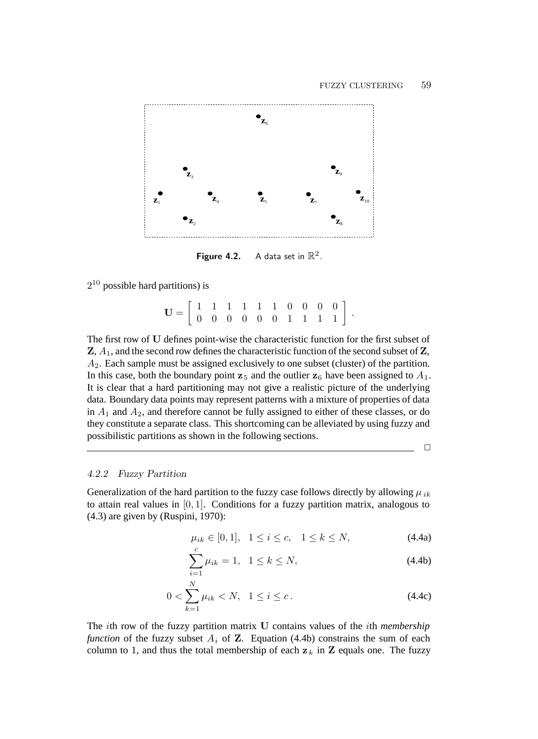

**Figure 4.2.** A data set in  $\mathbb{R}^2$ .

 $2^{10}$  possible hard partitions) is

 $\mathbf{U} = \left[ \begin{array}{ccccccc} 1 & 1 & 1 & 1 & 1 & 1 & 0 & 0 & 0 & 0 \ 0 & 0 & 0 & 0 & 0 & 0 & 1 & 1 & 1 & 1 \end{array} \right] \, .$ 

The first row of **U** defines point-wise the characteristic function for the first subset of  $\mathbf{Z}, A_1$ , and the second row defines the characteristic function of the second subset of  $\mathbf{Z}$ ,  $A<sub>2</sub>$ . Each sample must be assigned exclusively to one subset (cluster) of the partition. In this case, both the boundary point  $z_5$  and the outlier  $z_6$  have been assigned to  $A_1$ . It is clear that a hard partitioning may not give a realistic picture of the underlying data. Boundary data points may represent patterns with a mixture of properties of data in  $A_1$  and  $A_2$ , and therefore cannot be fully assigned to either of these classes, or do they constitute a separate class. This shortcoming can be alleviated by using fuzzy and possibilistic partitions as shown in the following sections.

 $\Box$ 

## *4.2.2 Fuzzy Partition*

Generalization of the hard partition to the fuzzy case follows directly by allowing  $\mu_{ik}$ to attain real values in [0, 1]. Conditions for a fuzzy partition matrix, analogous to (4.3) are given by (Ruspini, 1970):

$$
\mu_{ik} \in [0, 1], \quad 1 \le i \le c, \quad 1 \le k \le N,
$$
\n(4.4a)

$$
\sum_{i=1}^{c} \mu_{ik} = 1, \quad 1 \le k \le N,
$$
\n(4.4b)

$$
0 < \sum_{k=1}^{N} \mu_{ik} < N, \quad 1 \le i \le c. \tag{4.4c}
$$

The ith row of the fuzzy partition matrix **U** contains values of the ith *membership function* of the fuzzy subset  $A_i$  of **Z**. Equation (4.4b) constrains the sum of each column to 1, and thus the total membership of each  $z_k$  in  $\mathbf{Z}$  equals one. The fuzzy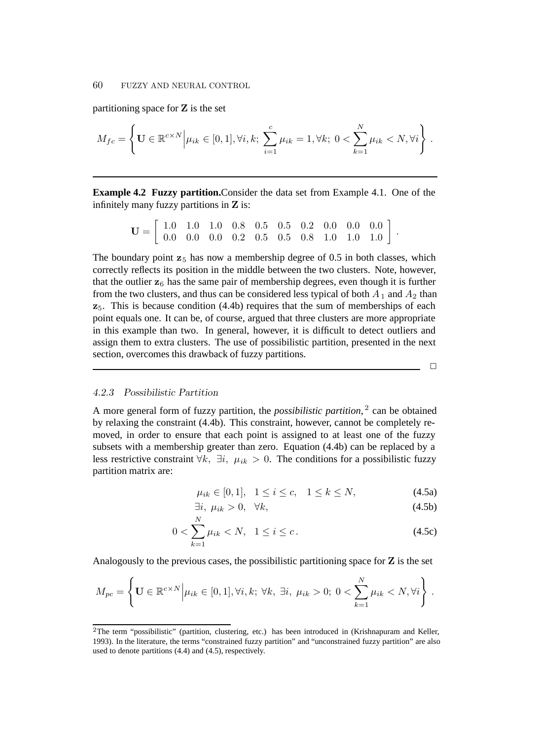partitioning space for **Z** is the set

$$
M_{fc} = \left\{ \mathbf{U} \in \mathbb{R}^{c \times N} \Big| \mu_{ik} \in [0,1], \forall i,k; \ \sum_{i=1}^{c} \mu_{ik} = 1, \forall k; \ 0 < \sum_{k=1}^{N} \mu_{ik} < N, \forall i \right\} \ .
$$

**Example 4.2 Fuzzy partition.**Consider the data set from Example 4.1. One of the infinitely many fuzzy partitions in **Z** is:

$$
\mathbf{U} = \left[ \begin{array}{cccccc} 1.0 & 1.0 & 1.0 & 0.8 & 0.5 & 0.5 & 0.2 & 0.0 & 0.0 & 0.0 \\ 0.0 & 0.0 & 0.0 & 0.2 & 0.5 & 0.5 & 0.8 & 1.0 & 1.0 & 1.0 \end{array} \right]
$$

The boundary point  $z_5$  has now a membership degree of 0.5 in both classes, which correctly reflects its position in the middle between the two clusters. Note, however, that the outlier  $z_6$  has the same pair of membership degrees, even though it is further from the two clusters, and thus can be considered less typical of both  $A_1$  and  $A_2$  than **z**5. This is because condition (4.4b) requires that the sum of memberships of each point equals one. It can be, of course, argued that three clusters are more appropriate in this example than two. In general, however, it is difficult to detect outliers and assign them to extra clusters. The use of possibilistic partition, presented in the next section, overcomes this drawback of fuzzy partitions.

 $\Box$ 

.

#### *4.2.3 Possibilistic Partition*

A more general form of fuzzy partition, the *possibilistic partition*,<sup>2</sup> can be obtained by relaxing the constraint (4.4b). This constraint, however, cannot be completely removed, in order to ensure that each point is assigned to at least one of the fuzzy subsets with a membership greater than zero. Equation (4.4b) can be replaced by a less restrictive constraint  $\forall k, \exists i, \mu_{ik} > 0$ . The conditions for a possibilistic fuzzy partition matrix are:

$$
\mu_{ik} \in [0, 1], \ \ 1 \le i \le c, \ \ 1 \le k \le N,
$$
\n(4.5a)

$$
\exists i, \ \mu_{ik} > 0, \quad \forall k,\tag{4.5b}
$$

$$
0 < \sum_{k=1}^{N} \mu_{ik} < N, \quad 1 \le i \le c. \tag{4.5c}
$$

Analogously to the previous cases, the possibilistic partitioning space for **Z** is the set

$$
M_{pc} = \left\{ \mathbf{U} \in \mathbb{R}^{c \times N} \Big| \mu_{ik} \in [0, 1], \forall i, k; \forall k, \exists i, \mu_{ik} > 0; 0 < \sum_{k=1}^{N} \mu_{ik} < N, \forall i \right\}.
$$

<sup>2</sup>The term "possibilistic" (partition, clustering, etc.) has been introduced in (Krishnapuram and Keller, 1993). In the literature, the terms "constrained fuzzy partition" and "unconstrained fuzzy partition" are also used to denote partitions (4.4) and (4.5), respectively.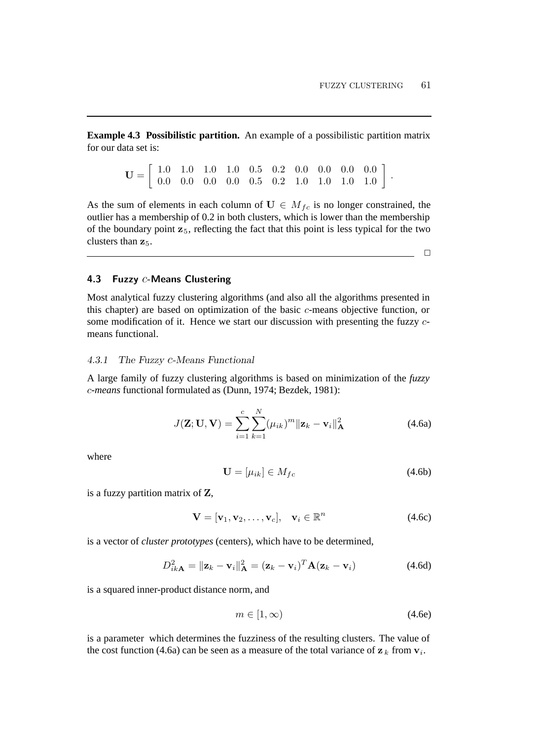**Example 4.3 Possibilistic partition.** An example of a possibilistic partition matrix for our data set is:

> **U** = - 1.0 1.0 1.0 1.0 0.5 0.2 0.0 0.0 0.0 0.0 0.0 0.0 0.0 0.0 0.5 0.2 1.0 1.0 1.0 1.0 . .

As the sum of elements in each column of  $U \in M_{fc}$  is no longer constrained, the outlier has a membership of 0.2 in both clusters, which is lower than the membership of the boundary point  $z_5$ , reflecting the fact that this point is less typical for the two clusters than  $z_5$ .

 $\Box$ 

## **4.3 Fuzzy** c**-Means Clustering**

Most analytical fuzzy clustering algorithms (and also all the algorithms presented in this chapter) are based on optimization of the basic c-means objective function, or some modification of it. Hence we start our discussion with presenting the fuzzy cmeans functional.

## *4.3.1 The Fuzzy* c*-Means Functional*

A large family of fuzzy clustering algorithms is based on minimization of the *fuzzy* c*-means* functional formulated as (Dunn, 1974; Bezdek, 1981):

$$
J(\mathbf{Z}; \mathbf{U}, \mathbf{V}) = \sum_{i=1}^{c} \sum_{k=1}^{N} (\mu_{ik})^{m} ||\mathbf{z}_{k} - \mathbf{v}_{i}||_{\mathbf{A}}^{2}
$$
(4.6a)

where

$$
\mathbf{U} = [\mu_{ik}] \in M_{fc} \tag{4.6b}
$$

is a fuzzy partition matrix of **Z**,

$$
\mathbf{V} = [\mathbf{v}_1, \mathbf{v}_2, \dots, \mathbf{v}_c], \quad \mathbf{v}_i \in \mathbb{R}^n
$$
 (4.6c)

is a vector of *cluster prototypes* (centers), which have to be determined,

$$
D_{ik\mathbf{A}}^2 = \|\mathbf{z}_k - \mathbf{v}_i\|_{\mathbf{A}}^2 = (\mathbf{z}_k - \mathbf{v}_i)^T \mathbf{A} (\mathbf{z}_k - \mathbf{v}_i)
$$
(4.6d)

is a squared inner-product distance norm, and

$$
m \in [1, \infty) \tag{4.6e}
$$

is a parameter which determines the fuzziness of the resulting clusters. The value of the cost function (4.6a) can be seen as a measure of the total variance of  $z_k$  from  $v_i$ .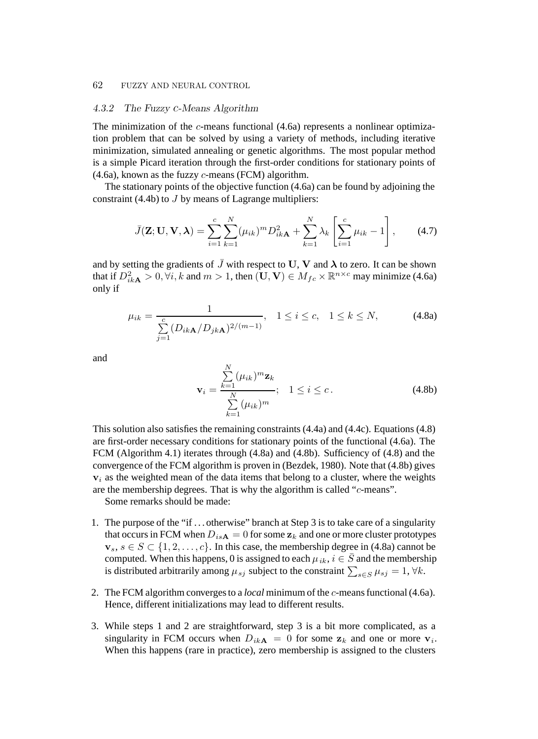#### *4.3.2 The Fuzzy* c*-Means Algorithm*

The minimization of the  $c$ -means functional  $(4.6a)$  represents a nonlinear optimization problem that can be solved by using a variety of methods, including iterative minimization, simulated annealing or genetic algorithms. The most popular method is a simple Picard iteration through the first-order conditions for stationary points of  $(4.6a)$ , known as the fuzzy c-means (FCM) algorithm.

The stationary points of the objective function (4.6a) can be found by adjoining the constraint  $(4.4b)$  to  $J$  by means of Lagrange multipliers:

$$
\bar{J}(\mathbf{Z}; \mathbf{U}, \mathbf{V}, \boldsymbol{\lambda}) = \sum_{i=1}^{c} \sum_{k=1}^{N} (\mu_{ik})^{m} D_{ik\mathbf{A}}^{2} + \sum_{k=1}^{N} \lambda_{k} \left[ \sum_{i=1}^{c} \mu_{ik} - 1 \right], \qquad (4.7)
$$

and by setting the gradients of  $\bar{J}$  with respect to **U**, **V** and  $\lambda$  to zero. It can be shown that if  $D_{ik\mathbf{A}}^2 > 0$ ,  $\forall i, k$  and  $m > 1$ , then  $(\mathbf{U}, \mathbf{V}) \in M_{fc} \times \mathbb{R}^{n \times c}$  may minimize (4.6a) only if

$$
\mu_{ik} = \frac{1}{\sum_{j=1}^{c} (D_{ik\mathbf{A}}/D_{jk\mathbf{A}})^{2/(m-1)}}, \quad 1 \le i \le c, \quad 1 \le k \le N,
$$
\n(4.8a)

and

$$
\mathbf{v}_{i} = \frac{\sum\limits_{k=1}^{N} (\mu_{ik})^{m} \mathbf{z}_{k}}{\sum\limits_{k=1}^{N} (\mu_{ik})^{m}}; \quad 1 \leq i \leq c.
$$
 (4.8b)

This solution also satisfies the remaining constraints (4.4a) and (4.4c). Equations (4.8) are first-order necessary conditions for stationary points of the functional (4.6a). The FCM (Algorithm 4.1) iterates through (4.8a) and (4.8b). Sufficiency of (4.8) and the convergence of the FCM algorithm is proven in (Bezdek, 1980). Note that (4.8b) gives  $v_i$  as the weighted mean of the data items that belong to a cluster, where the weights are the membership degrees. That is why the algorithm is called "c-means". Some remarks should be made:

- 1. The purpose of the "if . . . otherwise" branch at Step 3 is to take care of a singularity that occurs in FCM when  $D_{isA} = 0$  for some  $z_k$  and one or more cluster prototypes  $\mathbf{v}_s, s \in S \subset \{1, 2, \ldots, c\}$ . In this case, the membership degree in (4.8a) cannot be computed. When this happens, 0 is assigned to each  $\mu_{ik}$ ,  $i \in \overline{S}$  and the membership is distributed arbitrarily among  $\mu_{sj}$  subject to the constraint  $\sum_{s \in S} \mu_{sj} = 1$ ,  $\forall k$ .
- 2. The FCM algorithm converges to a *local* minimum of the c-means functional (4.6a). Hence, different initializations may lead to different results.
- 3. While steps 1 and 2 are straightforward, step 3 is a bit more complicated, as a singularity in FCM occurs when  $D_{ikA} = 0$  for some  $\mathbf{z}_k$  and one or more  $\mathbf{v}_i$ . When this happens (rare in practice), zero membership is assigned to the clusters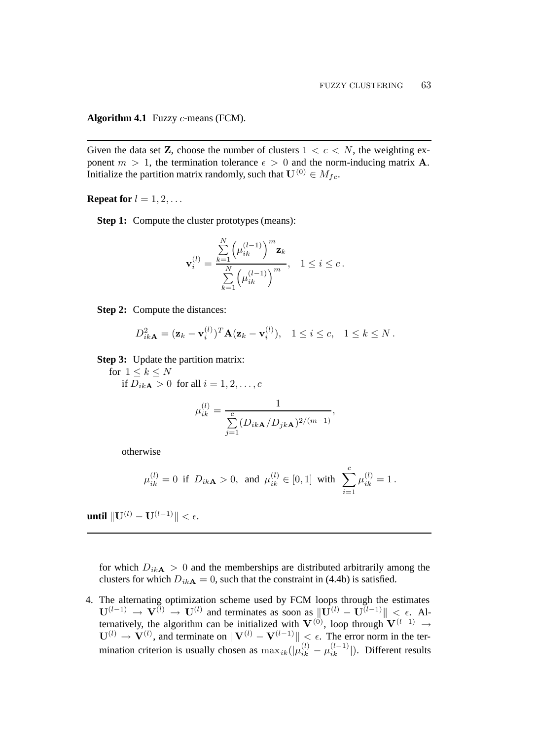**Algorithm 4.1** Fuzzy c-means (FCM).

Given the data set **Z**, choose the number of clusters  $1 < c < N$ , the weighting exponent  $m > 1$ , the termination tolerance  $\epsilon > 0$  and the norm-inducing matrix **A**. Initialize the partition matrix randomly, such that  $\mathbf{U}^{(0)} \in M_{fc}$ .

**Repeat for**  $l = 1, 2, \ldots$ 

**Step 1:** Compute the cluster prototypes (means):

$$
\mathbf{v}_{i}^{(l)} = \frac{\sum_{k=1}^{N} (\mu_{ik}^{(l-1)})^{m} \mathbf{z}_{k}}{\sum_{k=1}^{N} (\mu_{ik}^{(l-1)})^{m}}, \quad 1 \leq i \leq c.
$$

**Step 2:** Compute the distances:

$$
D_{ik\mathbf{A}}^2 = (\mathbf{z}_k - \mathbf{v}_i^{(l)})^T \mathbf{A} (\mathbf{z}_k - \mathbf{v}_i^{(l)}), \quad 1 \le i \le c, \quad 1 \le k \le N.
$$

**Step 3:** Update the partition matrix:

for  $1 \leq k \leq N$ 

if  $D_{ik\mathbf{A}} > 0$  for all  $i = 1, 2, \ldots, c$ 

$$
\mu_{ik}^{(l)} = \frac{1}{\sum_{j=1}^{c} (D_{ik\mathbf{A}}/D_{jk\mathbf{A}})^{2/(m-1)}},
$$

otherwise

$$
\mu_{ik}^{(l)} = 0
$$
 if  $D_{ik\mathbf{A}} > 0$ , and  $\mu_{ik}^{(l)} \in [0,1]$  with  $\sum_{i=1}^{c} \mu_{ik}^{(l)} = 1$ .

**until**  $||$ **U**<sup>(l)</sup> − **U**<sup>(l-1)</sup> $||$  <  $\epsilon$ .

for which  $D_{ikA} > 0$  and the memberships are distributed arbitrarily among the clusters for which  $D_{ikA} = 0$ , such that the constraint in (4.4b) is satisfied.

4. The alternating optimization scheme used by FCM loops through the estimates  $\mathbf{U}^{(l-1)} \rightarrow \mathbf{V}^{(l)} \rightarrow \mathbf{U}^{(l)}$  and terminates as soon as  $\|\mathbf{U}^{(l)} - \mathbf{U}^{(l-1)}\| < \epsilon$ . Alternatively, the algorithm can be initialized with  $V^{(0)}$ , loop through  $V^{(l-1)} \rightarrow$  $\mathbf{U}^{(l)} \to \mathbf{V}^{(l)}$ , and terminate on  $\|\mathbf{V}^{(l)} - \mathbf{V}^{(l-1)}\| < \epsilon$ . The error norm in the termination criterion is usually chosen as  $\max_{ik}(|\mu_{ik}^{(l)} - \mu_{ik}^{(l-1)}|)$ . Different results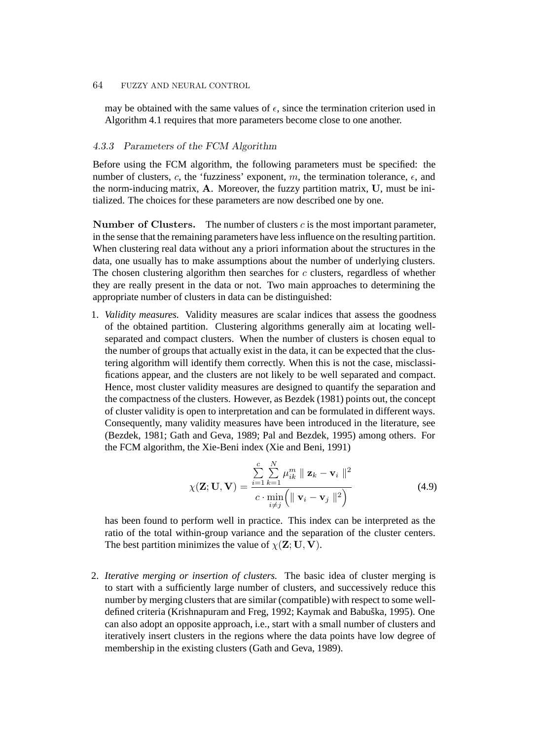may be obtained with the same values of  $\epsilon$ , since the termination criterion used in Algorithm 4.1 requires that more parameters become close to one another.

## *4.3.3 Parameters of the FCM Algorithm*

Before using the FCM algorithm, the following parameters must be specified: the number of clusters, c, the 'fuzziness' exponent, m, the termination tolerance,  $\epsilon$ , and the norm-inducing matrix, **A**. Moreover, the fuzzy partition matrix, **U**, must be initialized. The choices for these parameters are now described one by one.

**Number of Clusters.** The number of clusters  $c$  is the most important parameter, in the sense that the remaining parameters have less influence on the resulting partition. When clustering real data without any a priori information about the structures in the data, one usually has to make assumptions about the number of underlying clusters. The chosen clustering algorithm then searches for  $c$  clusters, regardless of whether they are really present in the data or not. Two main approaches to determining the appropriate number of clusters in data can be distinguished:

1. *Validity measures.* Validity measures are scalar indices that assess the goodness of the obtained partition. Clustering algorithms generally aim at locating wellseparated and compact clusters. When the number of clusters is chosen equal to the number of groups that actually exist in the data, it can be expected that the clustering algorithm will identify them correctly. When this is not the case, misclassifications appear, and the clusters are not likely to be well separated and compact. Hence, most cluster validity measures are designed to quantify the separation and the compactness of the clusters. However, as Bezdek (1981) points out, the concept of cluster validity is open to interpretation and can be formulated in different ways. Consequently, many validity measures have been introduced in the literature, see (Bezdek, 1981; Gath and Geva, 1989; Pal and Bezdek, 1995) among others. For the FCM algorithm, the Xie-Beni index (Xie and Beni, 1991)

$$
\chi(\mathbf{Z}; \mathbf{U}, \mathbf{V}) = \frac{\sum_{i=1}^{c} \sum_{k=1}^{N} \mu_{ik}^{m} \| \mathbf{z}_k - \mathbf{v}_i \|^2}{c \cdot \min_{i \neq j} \left( \| \mathbf{v}_i - \mathbf{v}_j \|^2 \right)}
$$
(4.9)

has been found to perform well in practice. This index can be interpreted as the ratio of the total within-group variance and the separation of the cluster centers. The best partition minimizes the value of  $\chi(\mathbf{Z}; \mathbf{U}, \mathbf{V})$ .

2. *Iterative merging or insertion of clusters.* The basic idea of cluster merging is to start with a sufficiently large number of clusters, and successively reduce this number by merging clusters that are similar (compatible) with respect to some welldefined criteria (Krishnapuram and Freg, 1992; Kaymak and Babuška, 1995). One can also adopt an opposite approach, i.e., start with a small number of clusters and iteratively insert clusters in the regions where the data points have low degree of membership in the existing clusters (Gath and Geva, 1989).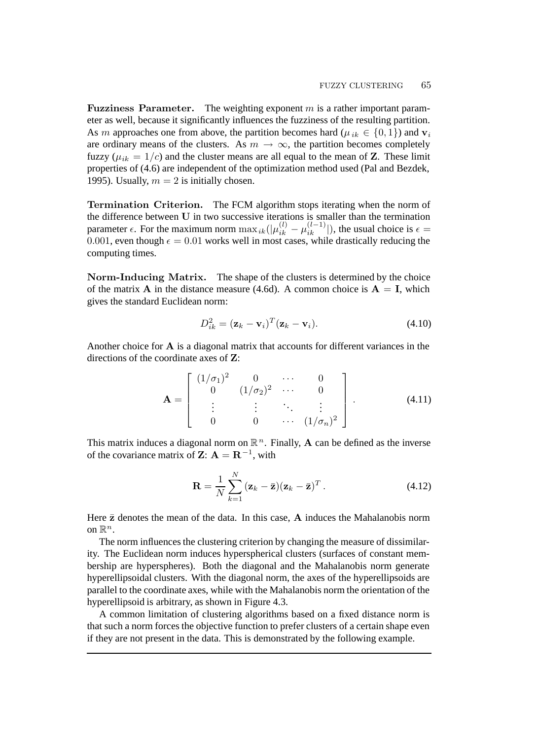**Fuzziness Parameter.** The weighting exponent m is a rather important parameter as well, because it significantly influences the fuzziness of the resulting partition. As m approaches one from above, the partition becomes hard ( $\mu_{ik} \in \{0, 1\}$ ) and  $\mathbf{v}_i$ are ordinary means of the clusters. As  $m \to \infty$ , the partition becomes completely fuzzy ( $\mu_{ik} = 1/c$ ) and the cluster means are all equal to the mean of **Z**. These limit properties of (4.6) are independent of the optimization method used (Pal and Bezdek, 1995). Usually,  $m = 2$  is initially chosen.

**Termination Criterion.** The FCM algorithm stops iterating when the norm of the difference between **U** in two successive iterations is smaller than the termination parameter  $\epsilon$ . For the maximum norm  $\max_{ik}(|\mu_{ik}^{(l)} - \mu_{ik}^{(l-1)}|)$ , the usual choice is  $\epsilon =$ 0.001, even though  $\epsilon = 0.01$  works well in most cases, while drastically reducing the computing times.

**Norm-Inducing Matrix.** The shape of the clusters is determined by the choice of the matrix **A** in the distance measure (4.6d). A common choice is  $A = I$ , which gives the standard Euclidean norm:

$$
D_{ik}^2 = (\mathbf{z}_k - \mathbf{v}_i)^T (\mathbf{z}_k - \mathbf{v}_i).
$$
 (4.10)

Another choice for **A** is a diagonal matrix that accounts for different variances in the directions of the coordinate axes of **Z**:

$$
\mathbf{A} = \begin{bmatrix} (1/\sigma_1)^2 & 0 & \cdots & 0 \\ 0 & (1/\sigma_2)^2 & \cdots & 0 \\ \vdots & \vdots & \ddots & \vdots \\ 0 & 0 & \cdots & (1/\sigma_n)^2 \end{bmatrix} .
$$
 (4.11)

This matrix induces a diagonal norm on  $\mathbb{R}^n$ . Finally, **A** can be defined as the inverse of the covariance matrix of **Z**:  $A = \mathbf{R}^{-1}$ , with

$$
\mathbf{R} = \frac{1}{N} \sum_{k=1}^{N} (\mathbf{z}_k - \bar{\mathbf{z}})(\mathbf{z}_k - \bar{\mathbf{z}})^T.
$$
 (4.12)

Here  $\bar{z}$  denotes the mean of the data. In this case, A induces the Mahalanobis norm on  $\mathbb{R}^n$ .

The norm influences the clustering criterion by changing the measure of dissimilarity. The Euclidean norm induces hyperspherical clusters (surfaces of constant membership are hyperspheres). Both the diagonal and the Mahalanobis norm generate hyperellipsoidal clusters. With the diagonal norm, the axes of the hyperellipsoids are parallel to the coordinate axes, while with the Mahalanobis norm the orientation of the hyperellipsoid is arbitrary, as shown in Figure 4.3.

A common limitation of clustering algorithms based on a fixed distance norm is that such a norm forces the objective function to prefer clusters of a certain shape even if they are not present in the data. This is demonstrated by the following example.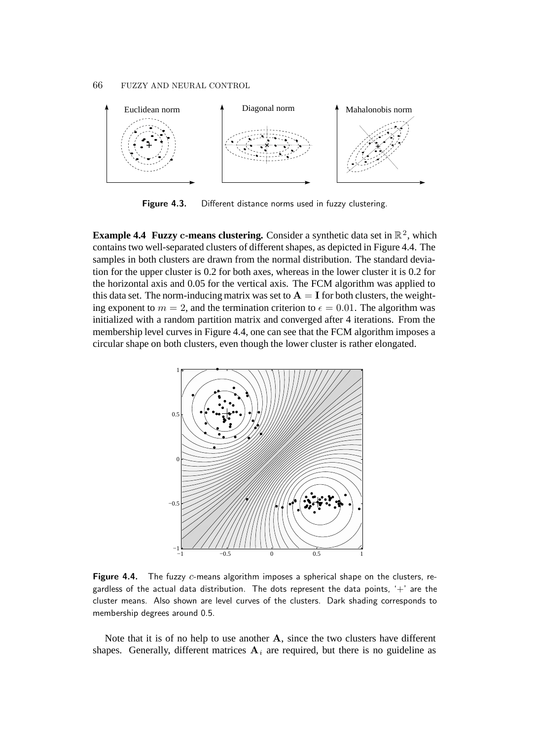

**Figure 4.3.** Different distance norms used in fuzzy clustering.

**Example 4.4 Fuzzy c-means clustering.** Consider a synthetic data set in  $\mathbb{R}^2$ , which contains two well-separated clusters of different shapes, as depicted in Figure 4.4. The samples in both clusters are drawn from the normal distribution. The standard deviation for the upper cluster is 0.2 for both axes, whereas in the lower cluster it is 0.2 for the horizontal axis and 0.05 for the vertical axis. The FCM algorithm was applied to this data set. The norm-inducing matrix was set to  $\mathbf{A} = \mathbf{I}$  for both clusters, the weighting exponent to  $m = 2$ , and the termination criterion to  $\epsilon = 0.01$ . The algorithm was initialized with a random partition matrix and converged after 4 iterations. From the membership level curves in Figure 4.4, one can see that the FCM algorithm imposes a circular shape on both clusters, even though the lower cluster is rather elongated.



**Figure 4.4.** The fuzzy c-means algorithm imposes a spherical shape on the clusters, regardless of the actual data distribution. The dots represent the data points, '+' are the cluster means. Also shown are level curves of the clusters. Dark shading corresponds to membership degrees around 0.5.

Note that it is of no help to use another **A**, since the two clusters have different shapes. Generally, different matrices  $A_i$  are required, but there is no guideline as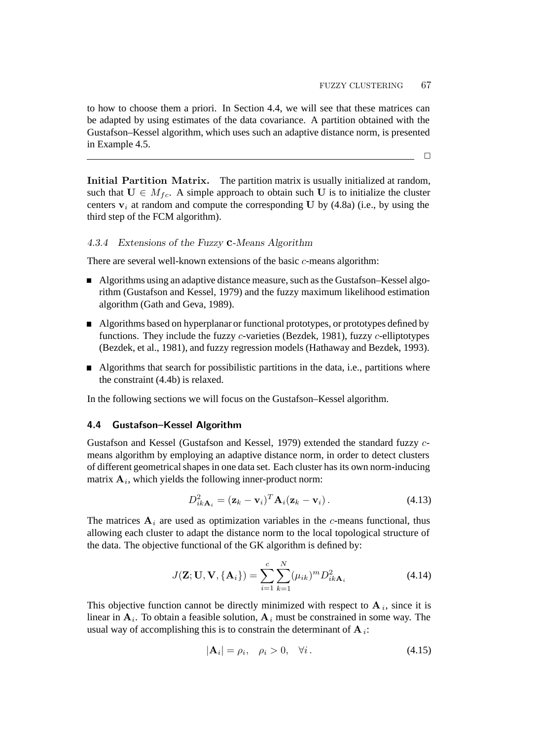to how to choose them a priori. In Section 4.4, we will see that these matrices can be adapted by using estimates of the data covariance. A partition obtained with the Gustafson–Kessel algorithm, which uses such an adaptive distance norm, is presented in Example 4.5.

 $\Box$ 

**Initial Partition Matrix.** The partition matrix is usually initialized at random, such that  $U \in M_{fc}$ . A simple approach to obtain such U is to initialize the cluster centers  $v_i$  at random and compute the corresponding U by  $(4.8a)$  (i.e., by using the third step of the FCM algorithm).

#### *4.3.4 Extensions of the Fuzzy* **c***-Means Algorithm*

There are several well-known extensions of the basic c-means algorithm:

- Algorithms using an adaptive distance measure, such as the Gustafson–Kessel algorithm (Gustafson and Kessel, 1979) and the fuzzy maximum likelihood estimation algorithm (Gath and Geva, 1989).
- Algorithms based on hyperplanar or functional prototypes, or prototypes defined by functions. They include the fuzzy c-varieties (Bezdek, 1981), fuzzy c-elliptotypes (Bezdek, et al., 1981), and fuzzy regression models (Hathaway and Bezdek, 1993).
- $\blacksquare$  Algorithms that search for possibilistic partitions in the data, i.e., partitions where the constraint (4.4b) is relaxed.

In the following sections we will focus on the Gustafson–Kessel algorithm.

#### **4.4 Gustafson–Kessel Algorithm**

Gustafson and Kessel (Gustafson and Kessel, 1979) extended the standard fuzzy cmeans algorithm by employing an adaptive distance norm, in order to detect clusters of different geometrical shapes in one data set. Each cluster has its own norm-inducing matrix  $A_i$ , which yields the following inner-product norm:

$$
D_{ik\mathbf{A}_i}^2 = (\mathbf{z}_k - \mathbf{v}_i)^T \mathbf{A}_i (\mathbf{z}_k - \mathbf{v}_i).
$$
 (4.13)

The matrices  $A_i$  are used as optimization variables in the c-means functional, thus allowing each cluster to adapt the distance norm to the local topological structure of the data. The objective functional of the GK algorithm is defined by:

$$
J(\mathbf{Z}; \mathbf{U}, \mathbf{V}, \{\mathbf{A}_i\}) = \sum_{i=1}^{c} \sum_{k=1}^{N} (\mu_{ik})^m D_{ik\mathbf{A}_i}^2
$$
(4.14)

This objective function cannot be directly minimized with respect to  $\mathbf{A}_i$ , since it is linear in  $A_i$ . To obtain a feasible solution,  $A_i$  must be constrained in some way. The usual way of accomplishing this is to constrain the determinant of  $A_i$ :

$$
|\mathbf{A}_i| = \rho_i, \quad \rho_i > 0, \quad \forall i. \tag{4.15}
$$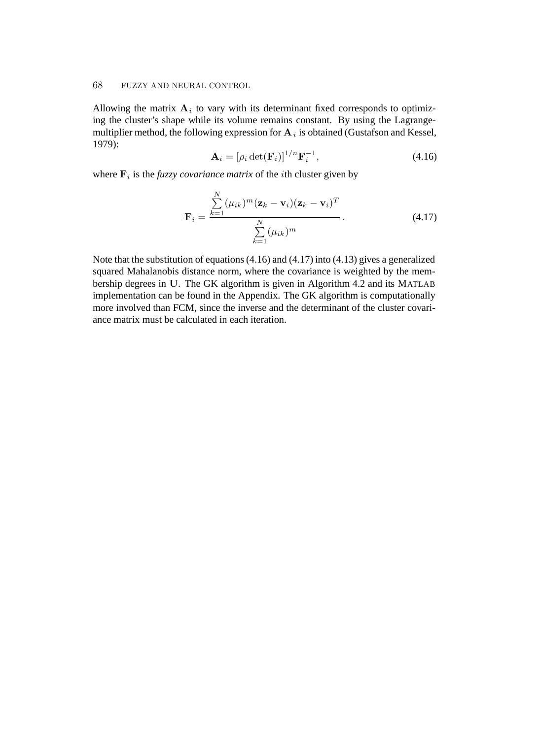Allowing the matrix  $A_i$  to vary with its determinant fixed corresponds to optimizing the cluster's shape while its volume remains constant. By using the Lagrangemultiplier method, the following expression for  $A_i$  is obtained (Gustafson and Kessel, 1979):

$$
\mathbf{A}_{i} = [\rho_{i} \det(\mathbf{F}_{i})]^{1/n} \mathbf{F}_{i}^{-1}, \tag{4.16}
$$

where  $\mathbf{F}_i$  is the *fuzzy covariance matrix* of the *i*th cluster given by

$$
\mathbf{F}_{i} = \frac{\sum_{k=1}^{N} (\mu_{ik})^{m} (\mathbf{z}_{k} - \mathbf{v}_{i}) (\mathbf{z}_{k} - \mathbf{v}_{i})^{T}}{\sum_{k=1}^{N} (\mu_{ik})^{m}}.
$$
 (4.17)

Note that the substitution of equations (4.16) and (4.17) into (4.13) gives a generalized squared Mahalanobis distance norm, where the covariance is weighted by the membership degrees in **U**. The GK algorithm is given in Algorithm 4.2 and its MATLAB implementation can be found in the Appendix. The GK algorithm is computationally more involved than FCM, since the inverse and the determinant of the cluster covariance matrix must be calculated in each iteration.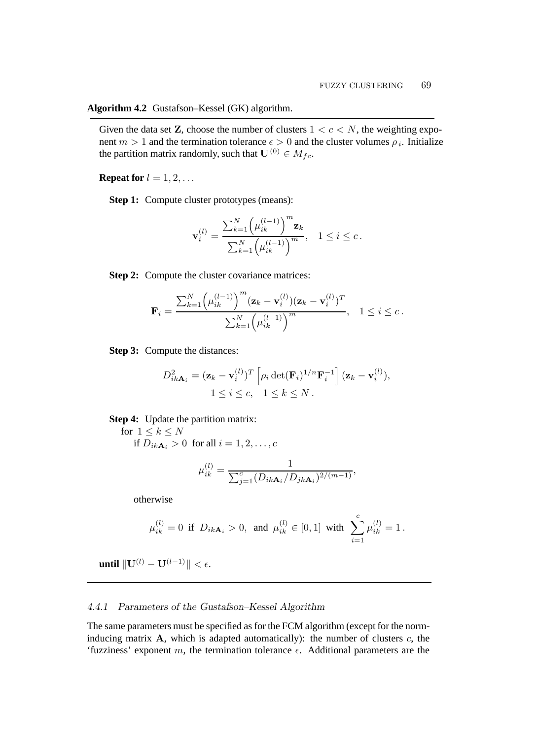#### **Algorithm 4.2** Gustafson–Kessel (GK) algorithm.

Given the data set **Z**, choose the number of clusters  $1 < c < N$ , the weighting exponent  $m > 1$  and the termination tolerance  $\epsilon > 0$  and the cluster volumes  $\rho_i$ . Initialize the partition matrix randomly, such that  $\mathbf{U}^{(0)} \in M_{fc}$ .

**Repeat for**  $l = 1, 2, \ldots$ 

**Step 1:** Compute cluster prototypes (means):

$$
\mathbf{v}_{i}^{(l)} = \frac{\sum_{k=1}^{N} (\mu_{ik}^{(l-1)})^{m} \mathbf{z}_{k}}{\sum_{k=1}^{N} (\mu_{ik}^{(l-1)})^{m}}, \quad 1 \leq i \leq c.
$$

**Step 2:** Compute the cluster covariance matrices:

$$
\mathbf{F}_{i} = \frac{\sum_{k=1}^{N} \left(\mu_{ik}^{(l-1)}\right)^{m} (\mathbf{z}_{k} - \mathbf{v}_{i}^{(l)}) (\mathbf{z}_{k} - \mathbf{v}_{i}^{(l)})^{T}}{\sum_{k=1}^{N} \left(\mu_{ik}^{(l-1)}\right)^{m}}, \quad 1 \leq i \leq c.
$$

**Step 3:** Compute the distances:

$$
D_{ik\mathbf{A}_i}^2 = (\mathbf{z}_k - \mathbf{v}_i^{(l)})^T \left[ \rho_i \det(\mathbf{F}_i)^{1/n} \mathbf{F}_i^{-1} \right] (\mathbf{z}_k - \mathbf{v}_i^{(l)}),
$$
  

$$
1 \le i \le c, \quad 1 \le k \le N.
$$

**Step 4:** Update the partition matrix:

for  $1 \leq k \leq N$ if  $D_{ik\mathbf{A}_i} > 0$  for all  $i = 1, 2, \ldots, c$ 

$$
\mu_{ik}^{(l)} = \frac{1}{\sum_{j=1}^{c} (D_{ik} \mathbf{A}_i / D_{jk} \mathbf{A}_i)^{2/(m-1)}},
$$

otherwise

$$
\mu_{ik}^{(l)} = 0
$$
 if  $D_{ik\mathbf{A}_i} > 0$ , and  $\mu_{ik}^{(l)} \in [0,1]$  with  $\sum_{i=1}^{c} \mu_{ik}^{(l)} = 1$ .

**until**  $||$ **U**<sup>(l)</sup> − **U**<sup>(l-1)</sup> $||$  <  $\epsilon$ .

## *4.4.1 Parameters of the Gustafson–Kessel Algorithm*

The same parameters must be specified as for the FCM algorithm (except for the norminducing matrix  $A$ , which is adapted automatically): the number of clusters  $c$ , the 'fuzziness' exponent m, the termination tolerance  $\epsilon$ . Additional parameters are the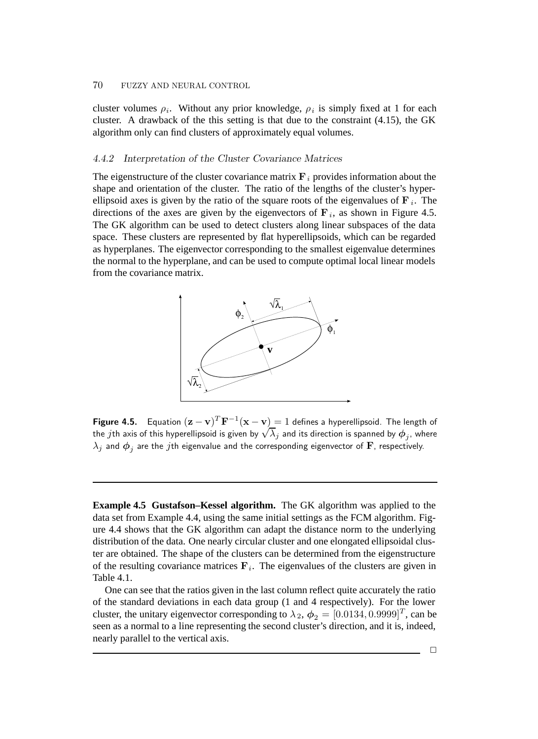cluster volumes  $\rho_i$ . Without any prior knowledge,  $\rho_i$  is simply fixed at 1 for each cluster. A drawback of the this setting is that due to the constraint (4.15), the GK algorithm only can find clusters of approximately equal volumes.

## *4.4.2 Interpretation of the Cluster Covariance Matrices*

The eigenstructure of the cluster covariance matrix  $\mathbf{F}_i$  provides information about the shape and orientation of the cluster. The ratio of the lengths of the cluster's hyperellipsoid axes is given by the ratio of the square roots of the eigenvalues of  $\mathbf{F}_i$ . The directions of the axes are given by the eigenvectors of  $\mathbf{F}_i$ , as shown in Figure 4.5. The GK algorithm can be used to detect clusters along linear subspaces of the data space. These clusters are represented by flat hyperellipsoids, which can be regarded as hyperplanes. The eigenvector corresponding to the smallest eigenvalue determines the normal to the hyperplane, and can be used to compute optimal local linear models from the covariance matrix.



**Figure 4.5.** Equation  $(\mathbf{z} - \mathbf{v})^T \mathbf{F}^{-1}(\mathbf{x} - \mathbf{v}) = 1$  defines a hyperellipsoid. The length of **Figure 4.5.** Equation  $(\mathbf{Z} - \mathbf{V})^T \mathbf{F}^{-1} (\mathbf{X} - \mathbf{V}) = 1$  defines a hyperellipsoid. The length of the *j*th axis of this hyperellipsoid is given by  $\sqrt{\lambda}_j$  and its direction is spanned by  $\phi_j$ , where  $\lambda_j$  and  $\boldsymbol{\phi}_j$  are the  $j$ th eigenvalue and the corresponding eigenvector of  $\mathbf F$ , respectively.

**Example 4.5 Gustafson–Kessel algorithm.** The GK algorithm was applied to the data set from Example 4.4, using the same initial settings as the FCM algorithm. Figure 4.4 shows that the GK algorithm can adapt the distance norm to the underlying distribution of the data. One nearly circular cluster and one elongated ellipsoidal cluster are obtained. The shape of the clusters can be determined from the eigenstructure of the resulting covariance matrices  $\mathbf{F}_i$ . The eigenvalues of the clusters are given in Table 4.1.

One can see that the ratios given in the last column reflect quite accurately the ratio of the standard deviations in each data group (1 and 4 respectively). For the lower cluster, the unitary eigenvector corresponding to  $\lambda_2$ ,  $\phi_2 = [0.0134, 0.9999]^T$ , can be seen as a normal to a line representing the second cluster's direction, and it is, indeed, nearly parallel to the vertical axis.

 $\Box$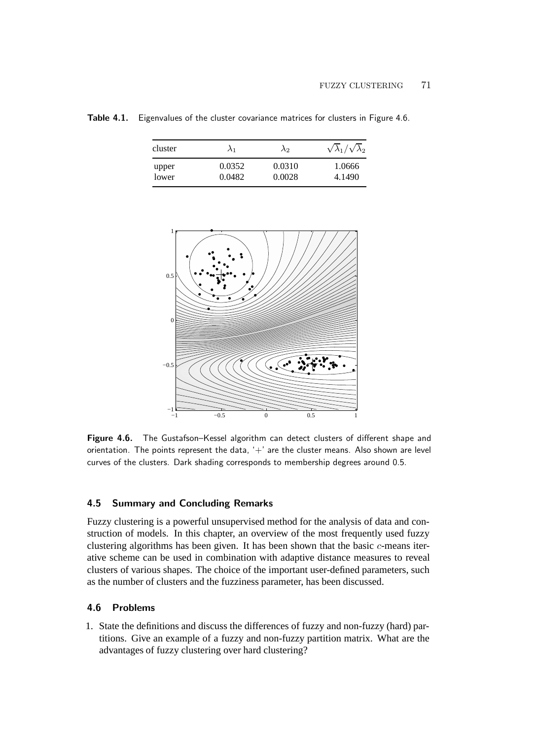| cluster | $\lambda_1$ | $\lambda_2$ | $\sqrt{\lambda_1}/\sqrt{\lambda_2}$ |
|---------|-------------|-------------|-------------------------------------|
| upper   | 0.0352      | 0.0310      | 1.0666                              |
| lower   | 0.0482      | 0.0028      | 4.1490                              |

Table 4.1. Eigenvalues of the cluster covariance matrices for clusters in Figure 4.6.



Figure 4.6. The Gustafson-Kessel algorithm can detect clusters of different shape and orientation. The points represent the data, '+' are the cluster means. Also shown are level curves of the clusters. Dark shading corresponds to membership degrees around 0.5.

## **4.5 Summary and Concluding Remarks**

Fuzzy clustering is a powerful unsupervised method for the analysis of data and construction of models. In this chapter, an overview of the most frequently used fuzzy clustering algorithms has been given. It has been shown that the basic c-means iterative scheme can be used in combination with adaptive distance measures to reveal clusters of various shapes. The choice of the important user-defined parameters, such as the number of clusters and the fuzziness parameter, has been discussed.

## **4.6 Problems**

1. State the definitions and discuss the differences of fuzzy and non-fuzzy (hard) partitions. Give an example of a fuzzy and non-fuzzy partition matrix. What are the advantages of fuzzy clustering over hard clustering?